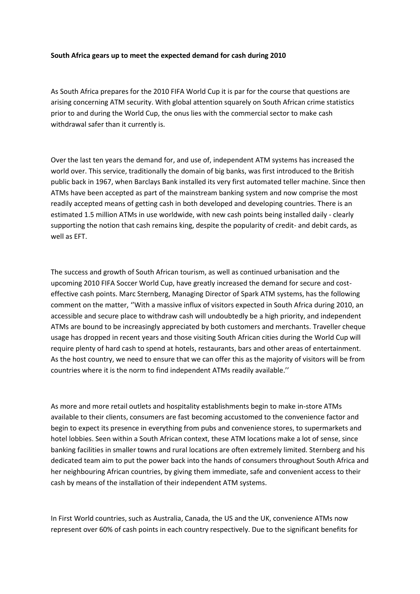## **South Africa gears up to meet the expected demand for cash during 2010**

As South Africa prepares for the 2010 FIFA World Cup it is par for the course that questions are arising concerning ATM security. With global attention squarely on South African crime statistics prior to and during the World Cup, the onus lies with the commercial sector to make cash withdrawal safer than it currently is.

Over the last ten years the demand for, and use of, independent ATM systems has increased the world over. This service, traditionally the domain of big banks, was first introduced to the British public back in 1967, when Barclays Bank installed its very first automated teller machine. Since then ATMs have been accepted as part of the mainstream banking system and now comprise the most readily accepted means of getting cash in both developed and developing countries. There is an estimated 1.5 million ATMs in use worldwide, with new cash points being installed daily - clearly supporting the notion that cash remains king, despite the popularity of credit- and debit cards, as well as EFT.

The success and growth of South African tourism, as well as continued urbanisation and the upcoming 2010 FIFA Soccer World Cup, have greatly increased the demand for secure and costeffective cash points. Marc Sternberg, Managing Director of Spark ATM systems, has the following comment on the matter, ''With a massive influx of visitors expected in South Africa during 2010, an accessible and secure place to withdraw cash will undoubtedly be a high priority, and independent ATMs are bound to be increasingly appreciated by both customers and merchants. Traveller cheque usage has dropped in recent years and those visiting South African cities during the World Cup will require plenty of hard cash to spend at hotels, restaurants, bars and other areas of entertainment. As the host country, we need to ensure that we can offer this as the majority of visitors will be from countries where it is the norm to find independent ATMs readily available.''

As more and more retail outlets and hospitality establishments begin to make in-store ATMs available to their clients, consumers are fast becoming accustomed to the convenience factor and begin to expect its presence in everything from pubs and convenience stores, to supermarkets and hotel lobbies. Seen within a South African context, these ATM locations make a lot of sense, since banking facilities in smaller towns and rural locations are often extremely limited. Sternberg and his dedicated team aim to put the power back into the hands of consumers throughout South Africa and her neighbouring African countries, by giving them immediate, safe and convenient access to their cash by means of the installation of their independent ATM systems.

In First World countries, such as Australia, Canada, the US and the UK, convenience ATMs now represent over 60% of cash points in each country respectively. Due to the significant benefits for